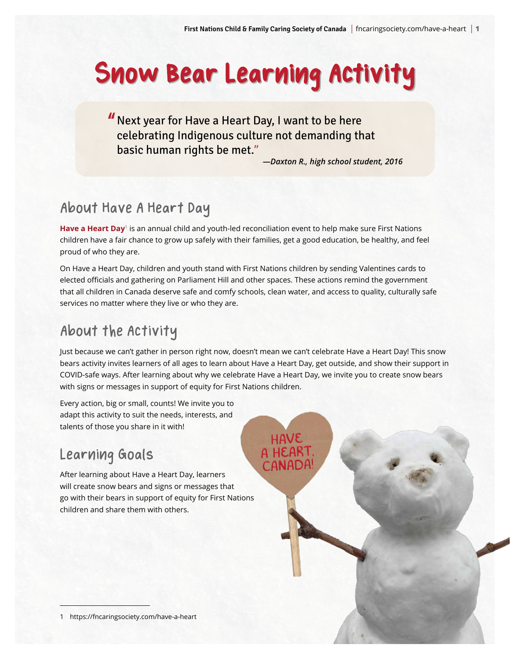# Snow Bear Learning Activity

### "Next year for Have a Heart Day, I want to be here celebrating Indigenous culture not demanding that basic human rights be met."

*—Daxton R., high school student, 2016*

### About Have A Heart Day

**[Have a Heart Day](https://fncaringsociety.com/have-a-heart)**<sup>1</sup> is an annual child and youth-led reconciliation event to help make sure First Nations children have a fair chance to grow up safely with their families, get a good education, be healthy, and feel proud of who they are.

On Have a Heart Day, children and youth stand with First Nations children by sending Valentines cards to elected officials and gathering on Parliament Hill and other spaces. These actions remind the government that all children in Canada deserve safe and comfy schools, clean water, and access to quality, culturally safe services no matter where they live or who they are.

### About the Activity

Just because we can't gather in person right now, doesn't mean we can't celebrate Have a Heart Day! This snow bears activity invites learners of all ages to learn about Have a Heart Day, get outside, and show their support in COVID-safe ways. After learning about why we celebrate Have a Heart Day, we invite you to create snow bears with signs or messages in support of equity for First Nations children.

> HaVE A HEART, CANADA!

Every action, big or small, counts! We invite you to adapt this activity to suit the needs, interests, and talents of those you share in it with!

## Learning Goals

After learning about Have a Heart Day, learners will create snow bears and signs or messages that go with their bears in support of equity for First Nations children and share them with others.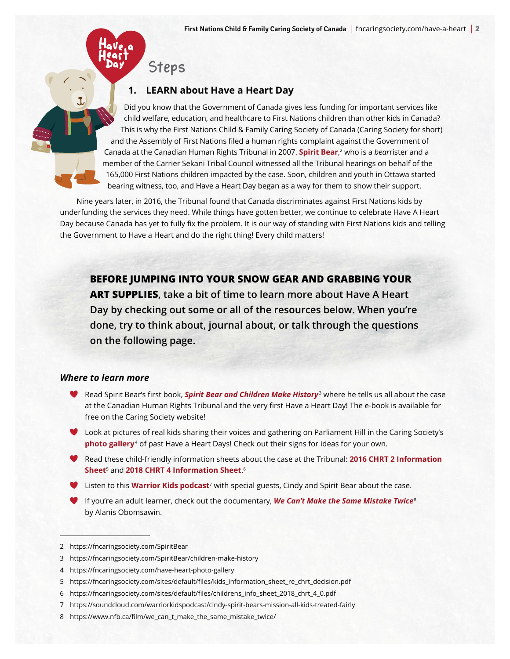### Steps

#### **1. LEARN about Have a Heart Day**

Did you know that the Government of Canada gives less funding for important services like child welfare, education, and healthcare to First Nations children than other kids in Canada? This is why the First Nations Child & Family Caring Society of Canada (Caring Society for short) and the Assembly of First Nations filed a human rights complaint against the Government of Canada at the Canadian Human Rights Tribunal in 2007. **[Spirit Bear](https://fncaringsociety.com/SpiritBear)**, 2 who is a *bear*rister and a member of the Carrier Sekani Tribal Council witnessed all the Tribunal hearings on behalf of the 165,000 First Nations children impacted by the case. Soon, children and youth in Ottawa started bearing witness, too, and Have a Heart Day began as a way for them to show their support.

Nine years later, in 2016, the Tribunal found that Canada discriminates against First Nations kids by underfunding the services they need. While things have gotten better, we continue to celebrate Have A Heart Day because Canada has yet to fully fix the problem. It is our way of standing with First Nations kids and telling the Government to Have a Heart and do the right thing! Every child matters!

**BEFORE JUMPING INTO YOUR SNOW GEAR AND GRABBING YOUR ART SUPPLIES, take a bit of time to learn more about Have A Heart Day by checking out some or all of the resources below. When you're done, try to think about, journal about, or talk through the questions on the following page.** 

#### *Where to learn more*

- **Read Spirit Bear's first book, [Spirit Bear and Children Make History](https://fncaringsociety.com/SpiritBear/children-make-history)<sup>3</sup> where he tells us all about the case** at the Canadian Human Rights Tribunal and the very first Have a Heart Day! The e-book is available for free on the Caring Society website!
- Look at pictures of real kids sharing their voices and gathering on Parliament Hill in the Caring Society's **[photo galler](https://fncaringsociety.com/have-heart-photo-gallery)y**<sup>4</sup> of past Have a Heart Days! Check out their signs for ideas for your own.
- Read these child-friendly information sheets about the case at the Tribunal: **[2016 CHRT 2 Information](https://fncaringsociety.com/sites/default/files/kids_information_sheet_re_chrt_decision.pdf)  [Sheet](https://fncaringsociety.com/sites/default/files/kids_information_sheet_re_chrt_decision.pdf)**5 and **[2018 CHRT 4 Information Sheet](https://fncaringsociety.com/sites/default/files/childrens_info_sheet_2018_chrt_4_0.pdf)**. 6
- Listen to this **[Warrior Kids podcast](https://soundcloud.com/warriorkidspodcast/cindy-spirit-bears-mission-all-kids-treated-fairly)**7 with special guests, Cindy and Spirit Bear about the case.
- If you're an adult learner, check out the documentary, *[We Can't Make the Same Mistake Twice](https://www.nfb.ca/film/we_can_t_make_the_same_mistake_twice/)*<sup>8</sup> by Alanis Obomsawin.

<sup>2</sup> https://fncaringsociety.com/SpiritBear

<sup>3</sup> https://fncaringsociety.com/SpiritBear/children-make-history

<sup>4</sup> https://fncaringsociety.com/have-heart-photo-gallery

<sup>5</sup> https://fncaringsociety.com/sites/default/files/kids\_information\_sheet\_re\_chrt\_decision.pdf

<sup>6</sup> https://fncaringsociety.com/sites/default/files/childrens\_info\_sheet\_2018\_chrt\_4\_0.pdf

<sup>7</sup> https://soundcloud.com/warriorkidspodcast/cindy-spirit-bears-mission-all-kids-treated-fairly

<sup>8</sup> https://www.nfb.ca/film/we\_can\_t\_make\_the\_same\_mistake\_twice/